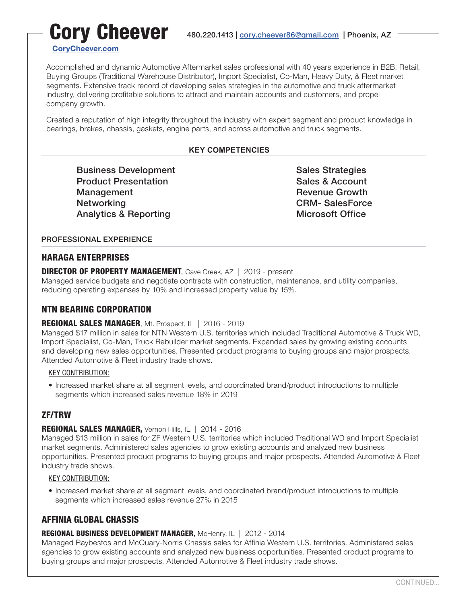# Cory Cheever 480.220.1413 | cory.cheever86@gmail[.com](mailto:cory.cheever86%40gmail.com?subject=Thank%20you%20for%20contacting%20me%20about%20my%20resume%21) | Phoenix, AZ [CoryCheever.com](https://www.corycheever.com/)

Accomplished and dynamic Automotive Aftermarket sales professional with 40 years experience in B2B, Retail, Buying Groups (Traditional Warehouse Distributor), Import Specialist, Co-Man, Heavy Duty, & Fleet market segments. Extensive track record of developing sales strategies in the automotive and truck aftermarket industry, delivering profitable solutions to attract and maintain accounts and customers, and propel company growth.

Created a reputation of high integrity throughout the industry with expert segment and product knowledge in bearings, brakes, chassis, gaskets, engine parts, and across automotive and truck segments.

## **KEY COMPETENCIES**

Business Development Sultain Sales Strategies Product Presentation **Sales & Account** Sales & Account Management **Management** Revenue Growth Networking **Networking** CRM- SalesForce Analytics & Reporting Microsoft Office

## PROFESSIONAL EXPERIENCE

## HARAGA ENTERPRISES

DIRECTOR OF PROPERTY MANAGEMENT, Cave Creek, AZ | 2019 - present

Managed service budgets and negotiate contracts with construction, maintenance, and utility companies, reducing operating expenses by 10% and increased property value by 15%.

## NTN BEARING CORPORATION

## REGIONAL SALES MANAGER, Mt. Prospect, IL | 2016 - 2019

Managed \$17 million in sales for NTN Western U.S. territories which included Traditional Automotive & Truck WD, Import Specialist, Co-Man, Truck Rebuilder market segments. Expanded sales by growing existing accounts and developing new sales opportunities. Presented product programs to buying groups and major prospects. Attended Automotive & Fleet industry trade shows.

## KEY CONTRIBUTION:

• Increased market share at all segment levels, and coordinated brand/product introductions to multiple segments which increased sales revenue 18% in 2019

# ZF/TRW

## REGIONAL SALES MANAGER, Vernon Hills, IL | 2014 - 2016

Managed \$13 million in sales for ZF Western U.S. territories which included Traditional WD and Import Specialist market segments. Administered sales agencies to grow existing accounts and analyzed new business opportunities. Presented product programs to buying groups and major prospects. Attended Automotive & Fleet industry trade shows.

## KEY CONTRIBUTION:

• Increased market share at all segment levels, and coordinated brand/product introductions to multiple segments which increased sales revenue 27% in 2015

# AFFINIA GLOBAL CHASSIS

## REGIONAL BUSINESS DEVELOPMENT MANAGER, McHenry, IL | 2012 - 2014

Managed Raybestos and McQuary-Norris Chassis sales for Affinia Western U.S. territories. Administered sales agencies to grow existing accounts and analyzed new business opportunities. Presented product programs to buying groups and major prospects. Attended Automotive & Fleet industry trade shows.